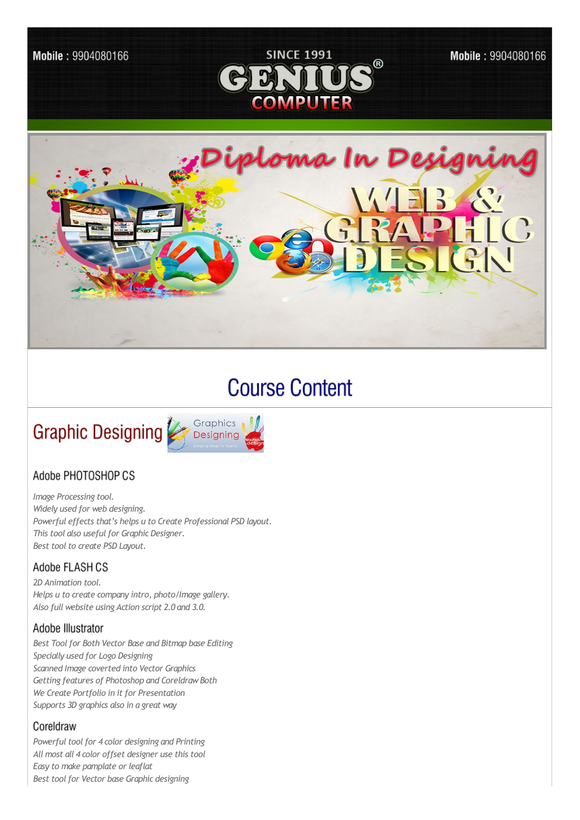

# **Course Content**



## Adobe PHOTOSHOP CS

*Image Processing tool. Widely used for web designing. Powerful effects that's helps u to Create Professional PSD layout. This tool also usefulfor Graphic Designer. Best tool to create PSD Layout.* 

## Adobe FLASH CS

*2D Animation tool. Helps u to create company intro, photo/Image gallery. Also full website using Action script 2.0 and 3.0.*

#### Adobe Illustrator

*Best Toolfor Both Vector Base and Bitmap base Editing Specially used for Logo Designing Scanned Image coverted into Vector Graphics Getting features of Photoshop and CoreldrawBoth We Create Portfolio in it for Presentation Supports 3D graphics also in a great way*

#### Coreldraw

*Powerful tool for 4 color designing and Printing All most all 4 color offset designer use this tool Easy to make pamplate or leaflat Best toolfor Vector base Graphic designing*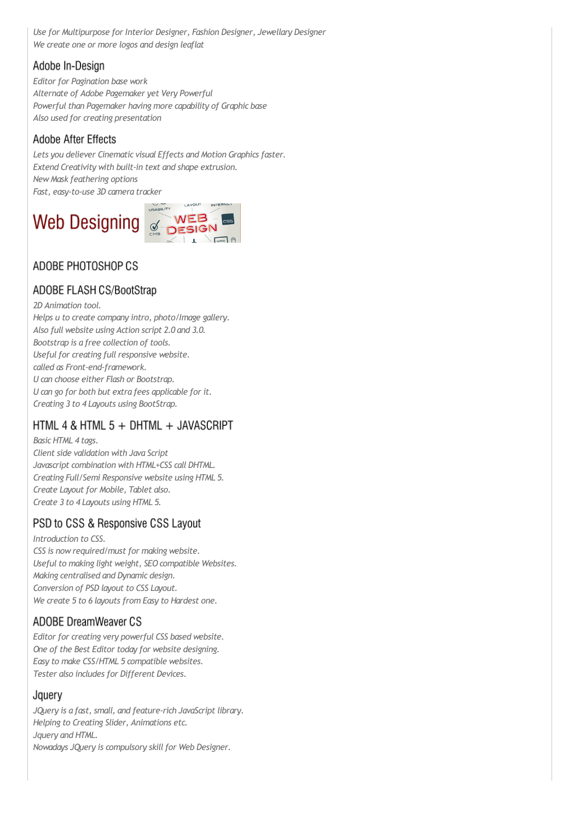*Use for Multipurpose for Interior Designer, Fashion Designer, Jewellary Designer We create one or more logos and design leaflat*

## Adobe In-Design

*Editor for Pagination base work Alternate of Adobe Pagemaker yet Very Powerful Powerful than Pagemaker having more capability of Graphic base Also used for creating presentation*

### **Adobe After Effects**

*Lets you deliever Cinematic visual Effects and Motion Graphics faster. Extend Creativity with built-in text and shape extrusion. NewMask feathering options Fast, easy-to-use 3D camera tracker*



# ADOBE PHOTOSHOP CS

## ADOBE FLASH CS/BootStrap

*2D Animation tool.*

*Helps u to create company intro, photo/Image gallery. Also full website using Action script 2.0 and 3.0. Bootstrap is a free collection of tools. Useful for creating full responsive website. called as Front-end-framework. U can choose either Flash or Bootstrap. U can go for both but extra fees applicable for it. Creating 3 to 4 Layouts using BootStrap.*

# HTML 4 & HTML 5 + DHTML + JAVASCRIPT

*Basic HTML 4 tags. Client side validation with Java Script Javascript combination with HTML+CSS call DHTML. Creating Full/Semi Responsive website using HTML 5. Create Layout for Mobile, Tablet also. Create 3 to 4 Layouts using HTML 5.*

## PSD to CSS & Responsive CSS Layout

*Introduction to CSS. CSS is nowrequired/must for making website. Useful to making light weight, SEO compatible Websites. Making centralised and Dynamic design. Conversion of PSD layout to CSS Layout. We create 5 to 6 layouts from Easy to Hardest one.*

# **ADOBE DreamWeaver CS**

*Editor for creating very powerful CSS based website. One of the Best Editor today for website designing. Easy to make CSS/HTML 5 compatible websites. Tester also includes for Different Devices.*

#### Jquery

*JQuery is a fast, small, and feature-rich JavaScript library. Helping to Creating Slider, Animations etc. Jquery and HTML. Nowadays JQuery is compulsory skillfor Web Designer.*